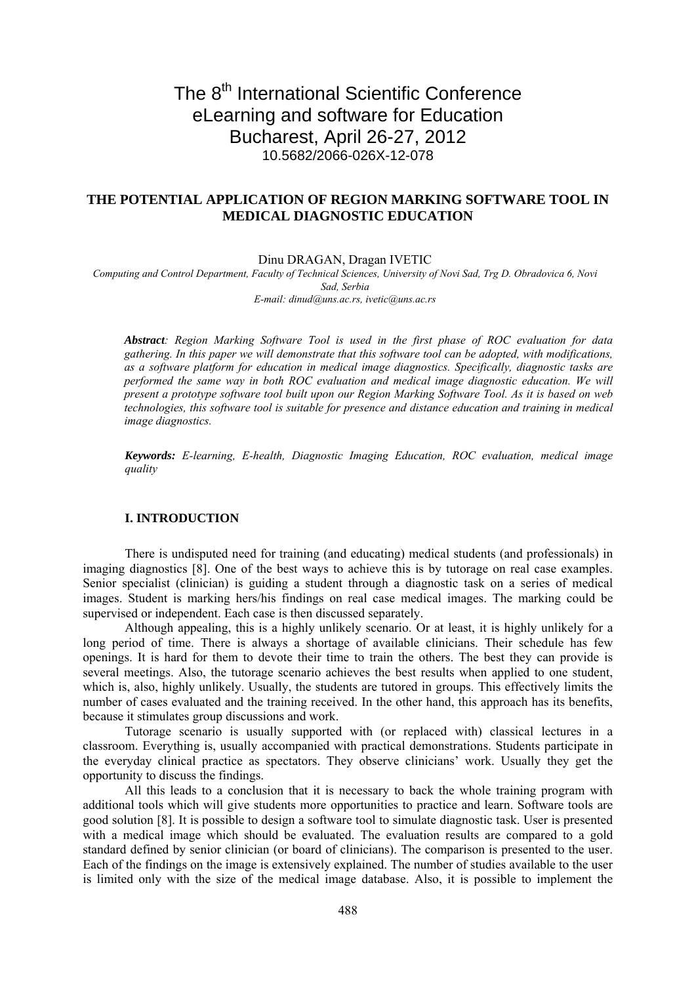# The 8<sup>th</sup> International Scientific Conference eLearning and software for Education Bucharest, April 26-27, 2012 10.5682/2066-026X-12-078

## **THE POTENTIAL APPLICATION OF REGION MARKING SOFTWARE TOOL IN MEDICAL DIAGNOSTIC EDUCATION**

Dinu DRAGAN, Dragan IVETIC

*Computing and Control Department, Faculty of Technical Sciences, University of Novi Sad, Trg D. Obradovica 6, Novi Sad, Serbia E-mail: dinud@uns.ac.rs, ivetic@uns.ac.rs* 

*Abstract: Region Marking Software Tool is used in the first phase of ROC evaluation for data gathering. In this paper we will demonstrate that this software tool can be adopted, with modifications, as a software platform for education in medical image diagnostics. Specifically, diagnostic tasks are performed the same way in both ROC evaluation and medical image diagnostic education. We will present a prototype software tool built upon our Region Marking Software Tool. As it is based on web technologies, this software tool is suitable for presence and distance education and training in medical image diagnostics.* 

*Keywords: E-learning, E-health, Diagnostic Imaging Education, ROC evaluation, medical image quality*

## **I..INTRODUCTION**

There is undisputed need for training (and educating) medical students (and professionals) in imaging diagnostics [8]. One of the best ways to achieve this is by tutorage on real case examples. Senior specialist (clinician) is guiding a student through a diagnostic task on a series of medical images. Student is marking hers/his findings on real case medical images. The marking could be supervised or independent. Each case is then discussed separately.

Although appealing, this is a highly unlikely scenario. Or at least, it is highly unlikely for a long period of time. There is always a shortage of available clinicians. Their schedule has few openings. It is hard for them to devote their time to train the others. The best they can provide is several meetings. Also, the tutorage scenario achieves the best results when applied to one student, which is, also, highly unlikely. Usually, the students are tutored in groups. This effectively limits the number of cases evaluated and the training received. In the other hand, this approach has its benefits, because it stimulates group discussions and work.

Tutorage scenario is usually supported with (or replaced with) classical lectures in a classroom. Everything is, usually accompanied with practical demonstrations. Students participate in the everyday clinical practice as spectators. They observe clinicians' work. Usually they get the opportunity to discuss the findings.

All this leads to a conclusion that it is necessary to back the whole training program with additional tools which will give students more opportunities to practice and learn. Software tools are good solution [8]. It is possible to design a software tool to simulate diagnostic task. User is presented with a medical image which should be evaluated. The evaluation results are compared to a gold standard defined by senior clinician (or board of clinicians). The comparison is presented to the user. Each of the findings on the image is extensively explained. The number of studies available to the user is limited only with the size of the medical image database. Also, it is possible to implement the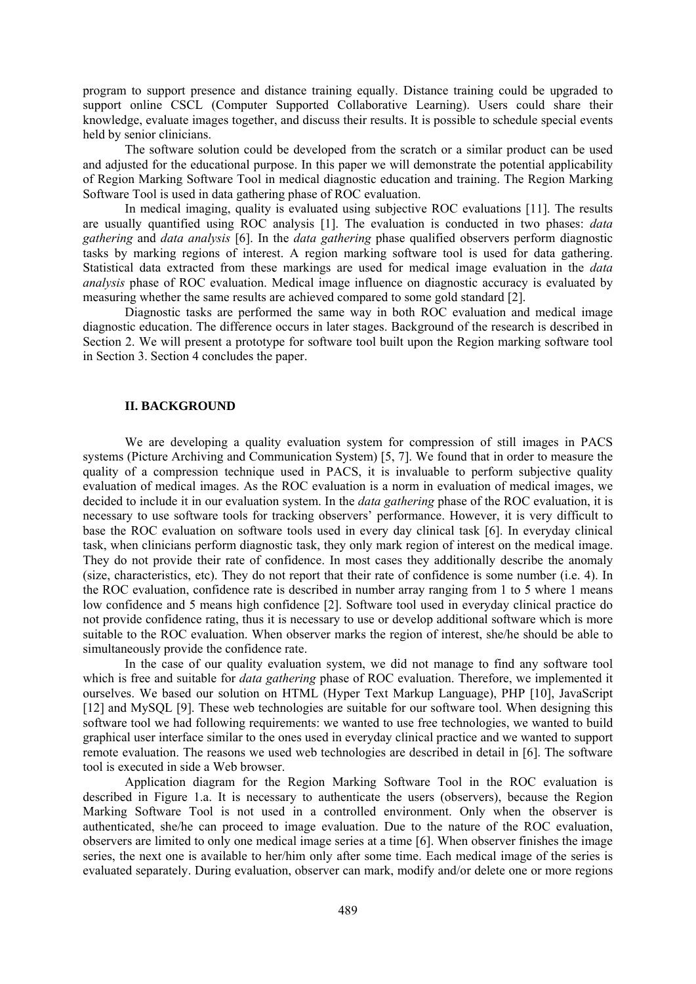program to support presence and distance training equally. Distance training could be upgraded to support online CSCL (Computer Supported Collaborative Learning). Users could share their knowledge, evaluate images together, and discuss their results. It is possible to schedule special events held by senior clinicians.

The software solution could be developed from the scratch or a similar product can be used and adjusted for the educational purpose. In this paper we will demonstrate the potential applicability of Region Marking Software Tool in medical diagnostic education and training. The Region Marking Software Tool is used in data gathering phase of ROC evaluation.

In medical imaging, quality is evaluated using subjective ROC evaluations [11]. The results are usually quantified using ROC analysis [1]. The evaluation is conducted in two phases: *data gathering* and *data analysis* [6]. In the *data gathering* phase qualified observers perform diagnostic tasks by marking regions of interest. A region marking software tool is used for data gathering. Statistical data extracted from these markings are used for medical image evaluation in the *data analysis* phase of ROC evaluation. Medical image influence on diagnostic accuracy is evaluated by measuring whether the same results are achieved compared to some gold standard [2].

Diagnostic tasks are performed the same way in both ROC evaluation and medical image diagnostic education. The difference occurs in later stages. Background of the research is described in Section 2. We will present a prototype for software tool built upon the Region marking software tool in Section 3. Section 4 concludes the paper.

### **II..BACKGROUND**

We are developing a quality evaluation system for compression of still images in PACS systems (Picture Archiving and Communication System) [5, 7]. We found that in order to measure the quality of a compression technique used in PACS, it is invaluable to perform subjective quality evaluation of medical images. As the ROC evaluation is a norm in evaluation of medical images, we decided to include it in our evaluation system. In the *data gathering* phase of the ROC evaluation, it is necessary to use software tools for tracking observers' performance. However, it is very difficult to base the ROC evaluation on software tools used in every day clinical task [6]. In everyday clinical task, when clinicians perform diagnostic task, they only mark region of interest on the medical image. They do not provide their rate of confidence. In most cases they additionally describe the anomaly (size, characteristics, etc). They do not report that their rate of confidence is some number (i.e. 4). In the ROC evaluation, confidence rate is described in number array ranging from 1 to 5 where 1 means low confidence and 5 means high confidence [2]. Software tool used in everyday clinical practice do not provide confidence rating, thus it is necessary to use or develop additional software which is more suitable to the ROC evaluation. When observer marks the region of interest, she/he should be able to simultaneously provide the confidence rate.

In the case of our quality evaluation system, we did not manage to find any software tool which is free and suitable for *data gathering* phase of ROC evaluation. Therefore, we implemented it ourselves. We based our solution on HTML (Hyper Text Markup Language), PHP [10], JavaScript [12] and MySQL [9]. These web technologies are suitable for our software tool. When designing this software tool we had following requirements: we wanted to use free technologies, we wanted to build graphical user interface similar to the ones used in everyday clinical practice and we wanted to support remote evaluation. The reasons we used web technologies are described in detail in [6]. The software tool is executed in side a Web browser.

Application diagram for the Region Marking Software Tool in the ROC evaluation is described in Figure 1.a. It is necessary to authenticate the users (observers), because the Region Marking Software Tool is not used in a controlled environment. Only when the observer is authenticated, she/he can proceed to image evaluation. Due to the nature of the ROC evaluation, observers are limited to only one medical image series at a time [6]. When observer finishes the image series, the next one is available to her/him only after some time. Each medical image of the series is evaluated separately. During evaluation, observer can mark, modify and/or delete one or more regions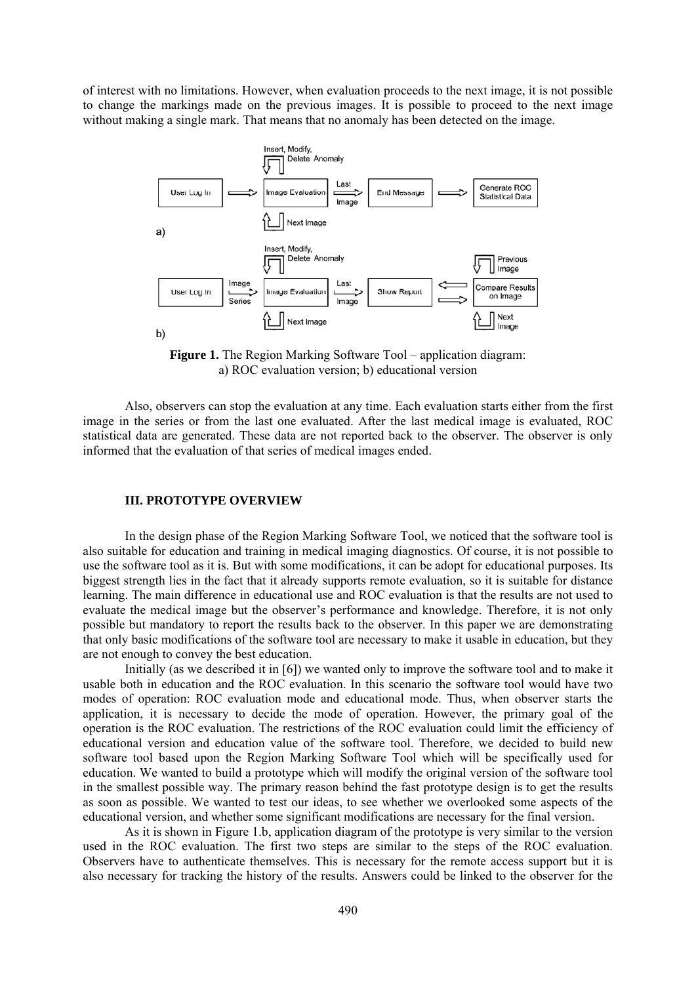of interest with no limitations. However, when evaluation proceeds to the next image, it is not possible to change the markings made on the previous images. It is possible to proceed to the next image without making a single mark. That means that no anomaly has been detected on the image.



**Figure 1.** The Region Marking Software Tool – application diagram: a) ROC evaluation version; b) educational version

Also, observers can stop the evaluation at any time. Each evaluation starts either from the first image in the series or from the last one evaluated. After the last medical image is evaluated, ROC statistical data are generated. These data are not reported back to the observer. The observer is only informed that the evaluation of that series of medical images ended.

## **III..PROTOTYPE OVERVIEW**

In the design phase of the Region Marking Software Tool, we noticed that the software tool is also suitable for education and training in medical imaging diagnostics. Of course, it is not possible to use the software tool as it is. But with some modifications, it can be adopt for educational purposes. Its biggest strength lies in the fact that it already supports remote evaluation, so it is suitable for distance learning. The main difference in educational use and ROC evaluation is that the results are not used to evaluate the medical image but the observer's performance and knowledge. Therefore, it is not only possible but mandatory to report the results back to the observer. In this paper we are demonstrating that only basic modifications of the software tool are necessary to make it usable in education, but they are not enough to convey the best education.

Initially (as we described it in [6]) we wanted only to improve the software tool and to make it usable both in education and the ROC evaluation. In this scenario the software tool would have two modes of operation: ROC evaluation mode and educational mode. Thus, when observer starts the application, it is necessary to decide the mode of operation. However, the primary goal of the operation is the ROC evaluation. The restrictions of the ROC evaluation could limit the efficiency of educational version and education value of the software tool. Therefore, we decided to build new software tool based upon the Region Marking Software Tool which will be specifically used for education. We wanted to build a prototype which will modify the original version of the software tool in the smallest possible way. The primary reason behind the fast prototype design is to get the results as soon as possible. We wanted to test our ideas, to see whether we overlooked some aspects of the educational version, and whether some significant modifications are necessary for the final version.

As it is shown in Figure 1.b, application diagram of the prototype is very similar to the version used in the ROC evaluation. The first two steps are similar to the steps of the ROC evaluation. Observers have to authenticate themselves. This is necessary for the remote access support but it is also necessary for tracking the history of the results. Answers could be linked to the observer for the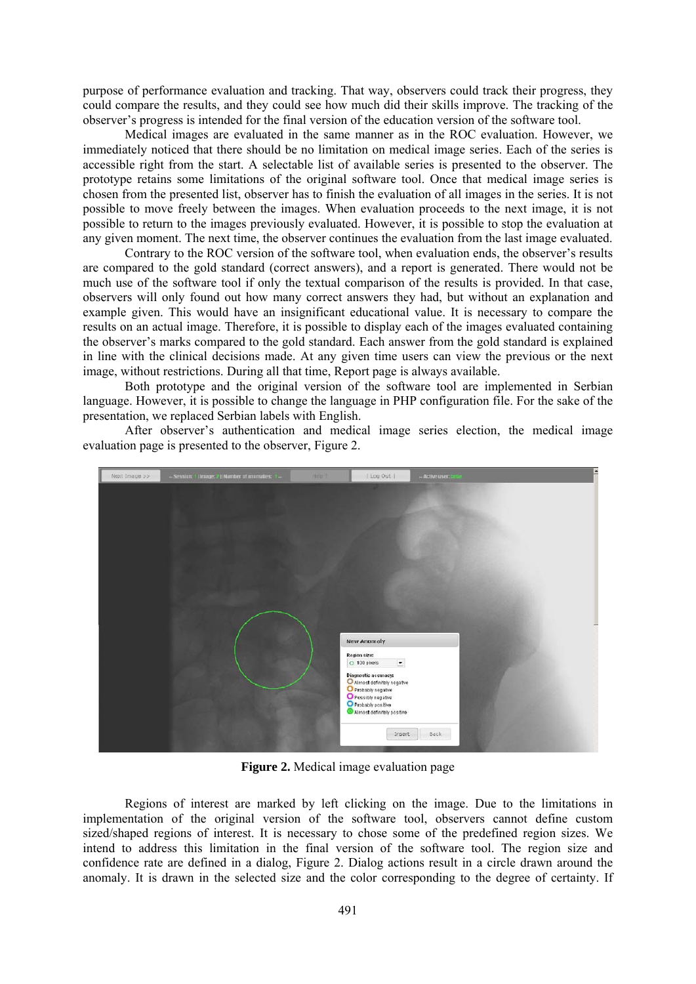purpose of performance evaluation and tracking. That way, observers could track their progress, they could compare the results, and they could see how much did their skills improve. The tracking of the observer's progress is intended for the final version of the education version of the software tool.

Medical images are evaluated in the same manner as in the ROC evaluation. However, we immediately noticed that there should be no limitation on medical image series. Each of the series is accessible right from the start. A selectable list of available series is presented to the observer. The prototype retains some limitations of the original software tool. Once that medical image series is chosen from the presented list, observer has to finish the evaluation of all images in the series. It is not possible to move freely between the images. When evaluation proceeds to the next image, it is not possible to return to the images previously evaluated. However, it is possible to stop the evaluation at any given moment. The next time, the observer continues the evaluation from the last image evaluated.

Contrary to the ROC version of the software tool, when evaluation ends, the observer's results are compared to the gold standard (correct answers), and a report is generated. There would not be much use of the software tool if only the textual comparison of the results is provided. In that case, observers will only found out how many correct answers they had, but without an explanation and example given. This would have an insignificant educational value. It is necessary to compare the results on an actual image. Therefore, it is possible to display each of the images evaluated containing the observer's marks compared to the gold standard. Each answer from the gold standard is explained in line with the clinical decisions made. At any given time users can view the previous or the next image, without restrictions. During all that time, Report page is always available.

Both prototype and the original version of the software tool are implemented in Serbian language. However, it is possible to change the language in PHP configuration file. For the sake of the presentation, we replaced Serbian labels with English.

After observer's authentication and medical image series election, the medical image evaluation page is presented to the observer, Figure 2.



**Figure 2.** Medical image evaluation page

Regions of interest are marked by left clicking on the image. Due to the limitations in implementation of the original version of the software tool, observers cannot define custom sized/shaped regions of interest. It is necessary to chose some of the predefined region sizes. We intend to address this limitation in the final version of the software tool. The region size and confidence rate are defined in a dialog, Figure 2. Dialog actions result in a circle drawn around the anomaly. It is drawn in the selected size and the color corresponding to the degree of certainty. If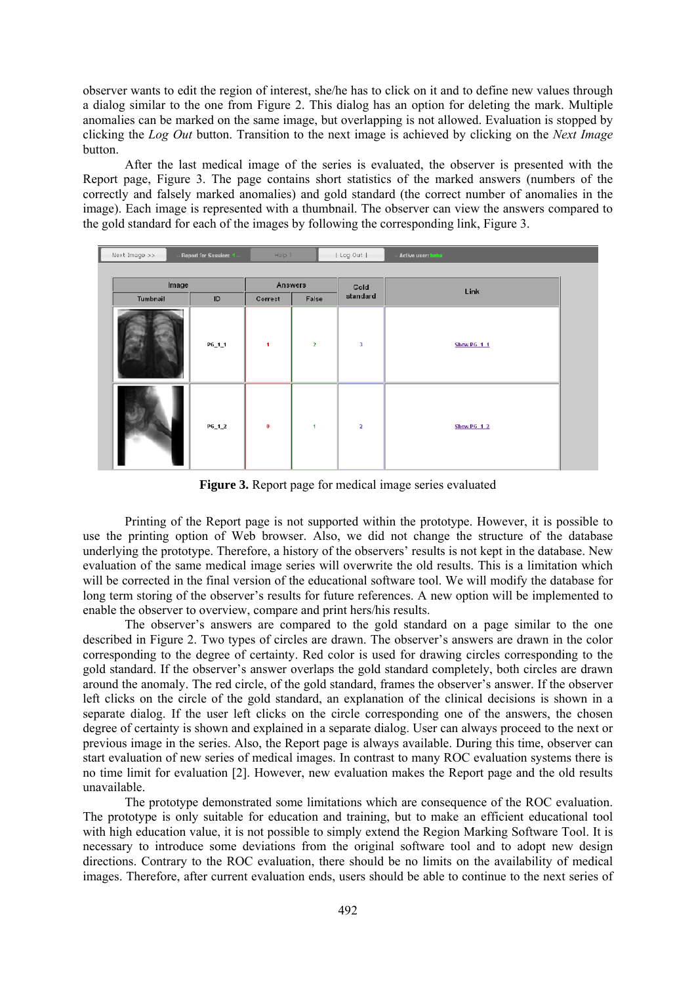observer wants to edit the region of interest, she/he has to click on it and to define new values through a dialog similar to the one from Figure 2. This dialog has an option for deleting the mark. Multiple anomalies can be marked on the same image, but overlapping is not allowed. Evaluation is stopped by clicking the *Log Out* button. Transition to the next image is achieved by clicking on the *Next Image* button.

After the last medical image of the series is evaluated, the observer is presented with the Report page, Figure 3. The page contains short statistics of the marked answers (numbers of the correctly and falsely marked anomalies) and gold standard (the correct number of anomalies in the image). Each image is represented with a thumbnail. The observer can view the answers compared to the gold standard for each of the images by following the corresponding link, Figure 3.

| Next Image >><br>Report for Session: 1 |          | Help ?    |          | Log Out      | Active user: beba       |                   |  |
|----------------------------------------|----------|-----------|----------|--------------|-------------------------|-------------------|--|
|                                        |          |           |          |              |                         |                   |  |
|                                        | Image    |           | Answers  |              | Gold                    | Link              |  |
|                                        | Tumbnail | ID        | Correct  | False        | standard                |                   |  |
|                                        |          | $P6_11_1$ | п.       | $\mathbf{z}$ | $\overline{\mathbf{3}}$ | <b>Show PG 11</b> |  |
|                                        |          | $P6_12$   | $\bf{0}$ | 1            | $\overline{\mathbf{2}}$ | Show PG 12        |  |

**Figure 3.** Report page for medical image series evaluated

Printing of the Report page is not supported within the prototype. However, it is possible to use the printing option of Web browser. Also, we did not change the structure of the database underlying the prototype. Therefore, a history of the observers' results is not kept in the database. New evaluation of the same medical image series will overwrite the old results. This is a limitation which will be corrected in the final version of the educational software tool. We will modify the database for long term storing of the observer's results for future references. A new option will be implemented to enable the observer to overview, compare and print hers/his results.

The observer's answers are compared to the gold standard on a page similar to the one described in Figure 2. Two types of circles are drawn. The observer's answers are drawn in the color corresponding to the degree of certainty. Red color is used for drawing circles corresponding to the gold standard. If the observer's answer overlaps the gold standard completely, both circles are drawn around the anomaly. The red circle, of the gold standard, frames the observer's answer. If the observer left clicks on the circle of the gold standard, an explanation of the clinical decisions is shown in a separate dialog. If the user left clicks on the circle corresponding one of the answers, the chosen degree of certainty is shown and explained in a separate dialog. User can always proceed to the next or previous image in the series. Also, the Report page is always available. During this time, observer can start evaluation of new series of medical images. In contrast to many ROC evaluation systems there is no time limit for evaluation [2]. However, new evaluation makes the Report page and the old results unavailable.

The prototype demonstrated some limitations which are consequence of the ROC evaluation. The prototype is only suitable for education and training, but to make an efficient educational tool with high education value, it is not possible to simply extend the Region Marking Software Tool. It is necessary to introduce some deviations from the original software tool and to adopt new design directions. Contrary to the ROC evaluation, there should be no limits on the availability of medical images. Therefore, after current evaluation ends, users should be able to continue to the next series of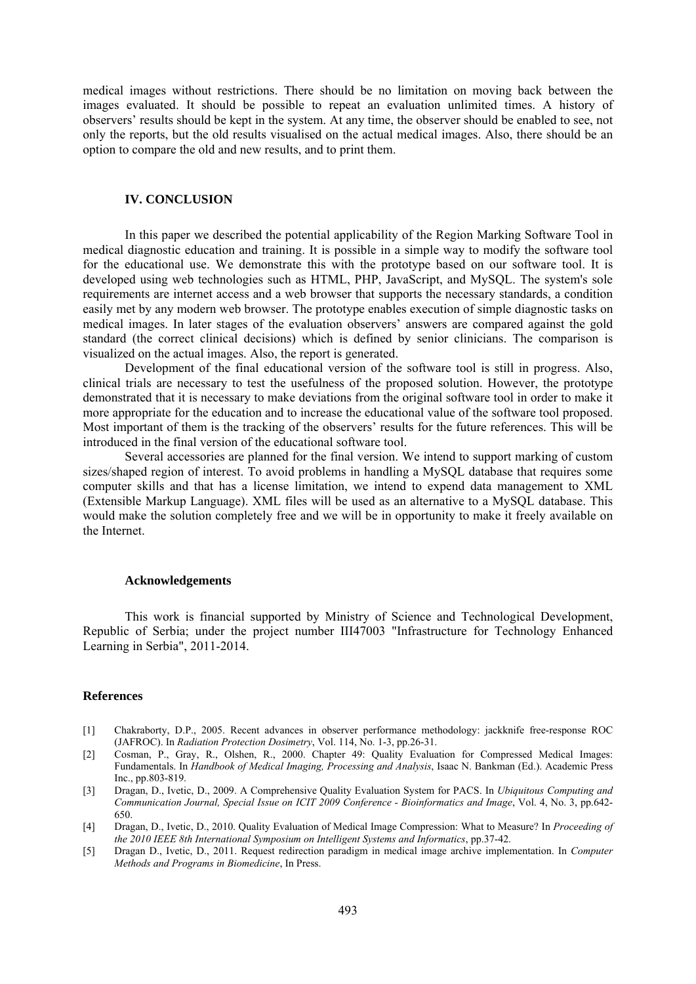medical images without restrictions. There should be no limitation on moving back between the images evaluated. It should be possible to repeat an evaluation unlimited times. A history of observers' results should be kept in the system. At any time, the observer should be enabled to see, not only the reports, but the old results visualised on the actual medical images. Also, there should be an option to compare the old and new results, and to print them.

## **IV..CONCLUSION**

In this paper we described the potential applicability of the Region Marking Software Tool in medical diagnostic education and training. It is possible in a simple way to modify the software tool for the educational use. We demonstrate this with the prototype based on our software tool. It is developed using web technologies such as HTML, PHP, JavaScript, and MySQL. The system's sole requirements are internet access and a web browser that supports the necessary standards, a condition easily met by any modern web browser. The prototype enables execution of simple diagnostic tasks on medical images. In later stages of the evaluation observers' answers are compared against the gold standard (the correct clinical decisions) which is defined by senior clinicians. The comparison is visualized on the actual images. Also, the report is generated.

Development of the final educational version of the software tool is still in progress. Also, clinical trials are necessary to test the usefulness of the proposed solution. However, the prototype demonstrated that it is necessary to make deviations from the original software tool in order to make it more appropriate for the education and to increase the educational value of the software tool proposed. Most important of them is the tracking of the observers' results for the future references. This will be introduced in the final version of the educational software tool.

Several accessories are planned for the final version. We intend to support marking of custom sizes/shaped region of interest. To avoid problems in handling a MySQL database that requires some computer skills and that has a license limitation, we intend to expend data management to XML (Extensible Markup Language). XML files will be used as an alternative to a MySQL database. This would make the solution completely free and we will be in opportunity to make it freely available on the Internet.

#### **Acknowledgements**

This work is financial supported by Ministry of Science and Technological Development, Republic of Serbia; under the project number III47003 "Infrastructure for Technology Enhanced Learning in Serbia", 2011-2014.

### **References**

- [1] Chakraborty, D.P., 2005. Recent advances in observer performance methodology: jackknife free-response ROC (JAFROC). In *Radiation Protection Dosimetry*, Vol. 114, No. 1-3, pp.26-31.
- [2] Cosman, P., Gray, R., Olshen, R., 2000. Chapter 49: Quality Evaluation for Compressed Medical Images: Fundamentals. In *Handbook of Medical Imaging, Processing and Analysis*, Isaac N. Bankman (Ed.). Academic Press Inc., pp.803-819.
- [3] Dragan, D., Ivetic, D., 2009. A Comprehensive Quality Evaluation System for PACS. In *Ubiquitous Computing and Communication Journal, Special Issue on ICIT 2009 Conference - Bioinformatics and Image*, Vol. 4, No. 3, pp.642- 650.
- [4] Dragan, D., Ivetic, D., 2010. Quality Evaluation of Medical Image Compression: What to Measure? In *Proceeding of the 2010 IEEE 8th International Symposium on Intelligent Systems and Informatics*, pp.37-42.
- [5] Dragan D., Ivetic, D., 2011. Request redirection paradigm in medical image archive implementation. In *Computer Methods and Programs in Biomedicine*, In Press.